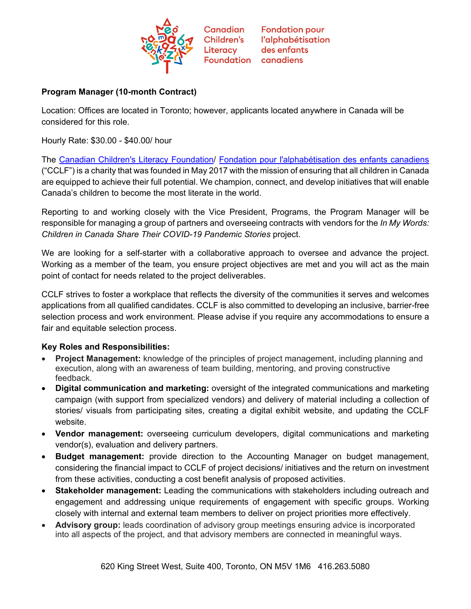

Canadian **Fondation pour** Children's l'alphabétisation des enfants **Foundation** canadiens

## **Program Manager (10-month Contract)**

Location: Offices are located in Toronto; however, applicants located anywhere in Canada will be considered for this role.

Literacy

Hourly Rate: \$30.00 - \$40.00/ hour

The [Canadian Children's Literacy Foundation/](https://www.childrensliteracy.ca/) [Fondation pour l'alphabétisation des enfants canadiens](https://www.alphabetisationdesenfants.ca/) ("CCLF") is a charity that was founded in May 2017 with the mission of ensuring that all children in Canada are equipped to achieve their full potential. We champion, connect, and develop initiatives that will enable Canada's children to become the most literate in the world.

Reporting to and working closely with the Vice President, Programs, the Program Manager will be responsible for managing a group of partners and overseeing contracts with vendors for the *In My Words: Children in Canada Share Their COVID-19 Pandemic Stories* project.

We are looking for a self-starter with a collaborative approach to oversee and advance the project. Working as a member of the team, you ensure project objectives are met and you will act as the main point of contact for needs related to the project deliverables.

CCLF strives to foster a workplace that reflects the diversity of the communities it serves and welcomes applications from all qualified candidates. CCLF is also committed to developing an inclusive, barrier-free selection process and work environment. Please advise if you require any accommodations to ensure a fair and equitable selection process.

## **Key Roles and Responsibilities:**

- **Project Management:** knowledge of the principles of project management, including planning and execution, along with an awareness of team building, mentoring, and proving constructive feedback.
- **Digital communication and marketing:** oversight of the integrated communications and marketing campaign (with support from specialized vendors) and delivery of material including a collection of stories/ visuals from participating sites, creating a digital exhibit website, and updating the CCLF website.
- **Vendor management:** overseeing curriculum developers, digital communications and marketing vendor(s), evaluation and delivery partners.
- **Budget management:** provide direction to the Accounting Manager on budget management, considering the financial impact to CCLF of project decisions/ initiatives and the return on investment from these activities, conducting a cost benefit analysis of proposed activities.
- **Stakeholder management:** Leading the communications with stakeholders including outreach and engagement and addressing unique requirements of engagement with specific groups. Working closely with internal and external team members to deliver on project priorities more effectively.
- **Advisory group:** leads coordination of advisory group meetings ensuring advice is incorporated into all aspects of the project, and that advisory members are connected in meaningful ways.